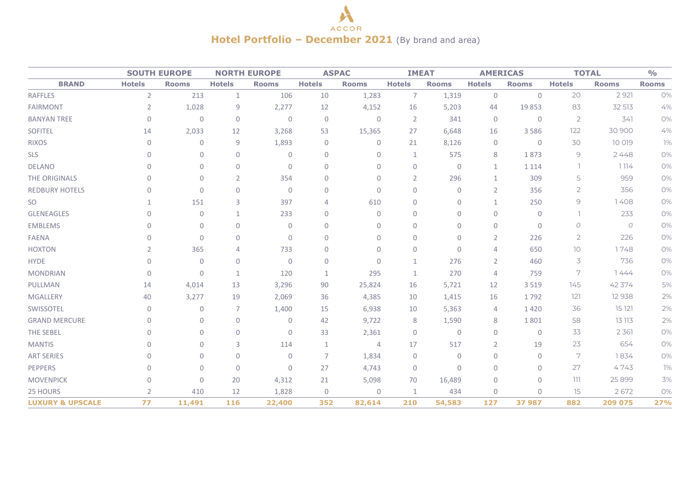## A **ACCOR Hotel Portfolio – December 2021** (By brand and area)

|                             |                | <b>SOUTH EUROPE</b> |                | <b>NORTH EUROPE</b> |                | <b>ASPAC</b>   |                | <b>IMEAT</b> |                | <b>AMERICAS</b>     | <b>TOTAL</b>   | $\frac{0}{0}$  |              |
|-----------------------------|----------------|---------------------|----------------|---------------------|----------------|----------------|----------------|--------------|----------------|---------------------|----------------|----------------|--------------|
| <b>BRAND</b>                | <b>Hotels</b>  | <b>Rooms</b>        | <b>Hotels</b>  | <b>Rooms</b>        | <b>Hotels</b>  | <b>Rooms</b>   | <b>Hotels</b>  | <b>Rooms</b> | <b>Hotels</b>  | <b>Rooms</b>        | <b>Hotels</b>  | <b>Rooms</b>   | <b>Rooms</b> |
| <b>RAFFLES</b>              | $\overline{2}$ | 213                 | $\mathbf{1}$   | 106                 | 10             | 1,283          | $\overline{7}$ | 1,319        | $\mathbb O$    | $\mathsf{O}\xspace$ | 20             | 2 9 2 1        | 0%           |
| <b>FAIRMONT</b>             | $\overline{2}$ | 1,028               | 9              | 2,277               | 12             | 4,152          | 16             | 5,203        | 44             | 19853               | 83             | 32 513         | 4%           |
| <b>BANYAN TREE</b>          | $\mathbf 0$    | $\mathbf 0$         | $\mathbf 0$    | $\mathbf{0}$        | $\mathbf 0$    | $\mathbf 0$    | $\overline{2}$ | 341          | $\mathbf 0$    | $\mathbf{0}$        | $\overline{2}$ | 341            | 0%           |
| <b>SOFITEL</b>              | 14             | 2,033               | 12             | 3,268               | 53             | 15,365         | 27             | 6,648        | 16             | 3 5 8 6             | 122            | 30 900         | 4%           |
| <b>RIXOS</b>                | $\mathbf 0$    | $\mathbf{0}$        | $\mathsf 9$    | 1,893               | $\overline{0}$ | $\mathbf 0$    | 21             | 8,126        | 0              | $\mathbf{0}$        | 30             | 10 019         | 1%           |
| <b>SLS</b>                  | $\mathbf{0}$   | $\mathbf 0$         | $\mathbf 0$    | $\mathbf{0}$        | $\mathbf{0}$   | $\mathbf 0$    |                | 575          | 8              | 1873                | 9              | 2448           | 0%           |
| <b>DELANO</b>               | $\mathbf{0}$   | 0                   | $\mathbf 0$    | $\mathbf 0$         | $\mathbf 0$    | $\mathbf 0$    | $\mathbf{0}$   | $\mathbf 0$  | $\mathbf{1}$   | 1 1 1 4             |                | 1114           | 0%           |
| THE ORIGINALS               | $\mathbf{0}$   | $\mathbf{0}$        | $\overline{2}$ | 354                 | $\mathbf 0$    | $\mathbf{0}$   | $\overline{2}$ | 296          | $\mathbf{1}$   | 309                 | 5              | 959            | 0%           |
| <b>REDBURY HOTELS</b>       | $\mathbf{0}$   | $\mathbf{0}$        | $\overline{0}$ | $\mathbf 0$         | $\mathbf{0}$   | $\mathbf{0}$   | $\Omega$       | $\mathbf{0}$ | $\overline{2}$ | 356                 | $\overline{2}$ | 356            | 0%           |
| SO                          | 1              | 151                 | 3              | 397                 | $\overline{4}$ | 610            | $\Omega$       | $\mathbf{0}$ | $\mathbf{1}$   | 250                 | 9              | 1408           | 0%           |
| <b>GLENEAGLES</b>           | $\mathbf{0}$   | $\mathbf 0$         | 1              | 233                 | $\mathbf{0}$   | $\mathbf{0}$   | 0              | $\mathbf{0}$ | $\mathbf 0$    | $\mathbf{0}$        | L.             | 233            | 0%           |
| <b>EMBLEMS</b>              | $\mathbf 0$    | 0                   | $\mathbf 0$    | 0                   | $\mathbf 0$    | $\mathbf 0$    | 0              | $\mathbf 0$  | $\mathbf 0$    | $\mathbf 0$         | $\overline{O}$ | $\overline{O}$ | 0%           |
| <b>FAENA</b>                | $\mathbf{0}$   | $\mathbf{0}$        | $\mathbf 0$    | $\mathbf{0}$        | $\mathbf{0}$   | $\mathbf{0}$   | $\Omega$       | $\mathbf{0}$ | $\overline{2}$ | 226                 | $\overline{2}$ | 226            | 0%           |
| <b>HOXTON</b>               | 2              | 365                 | 4              | 733                 | $\mathbf{0}$   | $\mathbf{0}$   | $\mathbf{0}$   | $\mathbf{0}$ | 4              | 650                 | 10             | 1748           | 0%           |
| <b>HYDE</b>                 | $\mathbf{0}$   | $\mathbf{0}$        | $\mathbf 0$    | $\mathbf{0}$        | $\mathbf{0}$   | $\mathbf{0}$   | $\mathbf{1}$   | 276          | $\overline{2}$ | 460                 | 3              | 736            | 0%           |
| <b>MONDRIAN</b>             | $\mathbf{0}$   | $\Omega$            | $\mathbf{1}$   | 120                 | $\mathbf{1}$   | 295            | $\mathbf{1}$   | 270          | $\overline{4}$ | 759                 | 7              | 7444           | 0%           |
| PULLMAN                     | 14             | 4,014               | 13             | 3,296               | 90             | 25,824         | 16             | 5,721        | 12             | 3 5 1 9             | 145            | 42 374         | 5%           |
| <b>MGALLERY</b>             | 40             | 3,277               | 19             | 2,069               | 36             | 4,385          | 10             | 1,415        | 16             | 1792                | 121            | 12 9 38        | 2%           |
| SWISSOTEL                   | $\mathbf{0}$   | $\mathbf{0}$        | 7              | 1,400               | 15             | 6,938          | 10             | 5,363        | 4              | 1420                | 36             | 15 121         | 2%           |
| <b>GRAND MERCURE</b>        | $\mathbf 0$    | $\mathbf 0$         | $\mathbf 0$    | $\mathbf 0$         | 42             | 9,722          | 8              | 1,590        | 8              | 1801                | 58             | 13 113         | 2%           |
| THE SEBEL                   | $\mathbf{0}$   | $\mathbf{0}$        | $\mathbf{0}$   | $\mathbf{0}$        | 33             | 2,361          | $\mathbf{0}$   | $\mathbf{0}$ | $\mathbf{0}$   | $\mathbf{0}$        | 33             | 2 3 6 1        | 0%           |
| <b>MANTIS</b>               | $\mathbf{0}$   | 0                   | 3              | 114                 | $\mathbf{1}$   | $\overline{4}$ | 17             | 517          | $\overline{2}$ | 19                  | 23             | 654            | 0%           |
| <b>ART SERIES</b>           | $\mathbf{0}$   | $\Omega$            | $\mathbf 0$    | $\mathbf 0$         | 7              | 1,834          | $\mathbf{0}$   | $\mathbf{0}$ | $\mathbf{0}$   | $\Omega$            | 7              | 1834           | 0%           |
| PEPPERS                     | $\mathbf{0}$   | $\mathbf{0}$        | $\mathbf 0$    | $\mathbf{0}$        | 27             | 4,743          | $\mathbf{0}$   | $\mathbf{0}$ | $\mathbf{0}$   | $\mathbf{0}$        | 27             | 4743           | 1%           |
| <b>MOVENPICK</b>            | $\Omega$       | $\mathbf 0$         | 20             | 4,312               | 21             | 5,098          | 70             | 16,489       | $\mathbf 0$    | $\Omega$            | 111            | 25 899         | 3%           |
| 25 HOURS                    | $\overline{2}$ | 410                 | 12             | 1,828               | $\overline{0}$ | $\overline{0}$ | 1              | 434          | $\mathbf 0$    | $\Omega$            | 15             | 2672           | 0%           |
| <b>LUXURY &amp; UPSCALE</b> | 77             | 11,491              | 116            | 22,400              | 352            | 82,614         | 210            | 54,583       | 127            | 37 987              | 882            | 209 075        | <b>27%</b>   |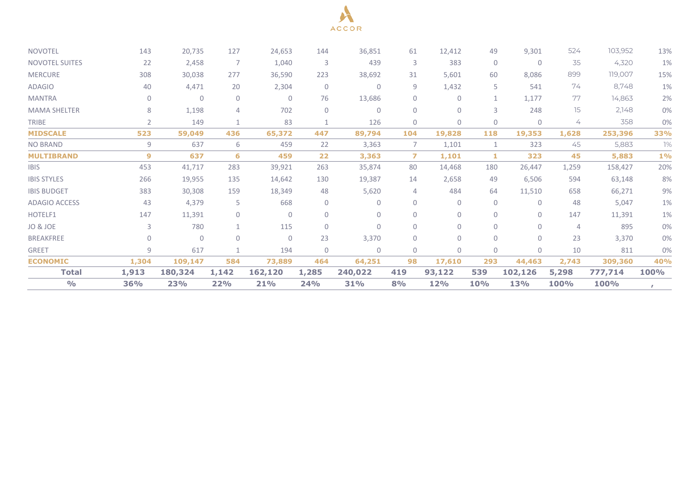

| <b>NOVOTEL</b>        | 143          | 20,735       | 127            | 24,653       | 144          | 36,851       | 61             | 12,412       | 49             | 9,301        | 524            | 103,952 | 13%          |
|-----------------------|--------------|--------------|----------------|--------------|--------------|--------------|----------------|--------------|----------------|--------------|----------------|---------|--------------|
| <b>NOVOTEL SUITES</b> | 22           | 2,458        | -7             | 1,040        | 3            | 439          | 3              | 383          | $\mathbf 0$    | $\mathbf{0}$ | 35             | 4,320   | 1%           |
| <b>MERCURE</b>        | 308          | 30,038       | 277            | 36,590       | 223          | 38,692       | 31             | 5,601        | 60             | 8,086        | 899            | 119,007 | 15%          |
| <b>ADAGIO</b>         | 40           | 4,471        | 20             | 2,304        | $\Omega$     | $\Omega$     | 9              | 1,432        | 5              | 541          | 74             | 8,748   | 1%           |
| <b>MANTRA</b>         | $\mathbf{0}$ | $\mathbf{0}$ | $\mathbf{0}$   | $\mathbf 0$  | 76           | 13,686       | 0              | 0            | 1              | 1,177        | 77             | 14,863  | 2%           |
| <b>MAMA SHELTER</b>   | 8            | 1,198        | $\overline{4}$ | 702          | $\Omega$     | $\mathbf{0}$ | $\Omega$       | $\Omega$     | $\mathbf{3}$   | 248          | 15             | 2,148   | 0%           |
| <b>TRIBE</b>          | 2            | 149          | 1              | 83           |              | 126          | 0              | $\mathbf{0}$ | $\mathbf 0$    | $\mathbf{0}$ | 4              | 358     | 0%           |
| <b>MIDSCALE</b>       | 523          | 59,049       | 436            | 65,372       | 447          | 89,794       | 104            | 19,828       | 118            | 19,353       | 1,628          | 253,396 | 33%          |
| <b>NO BRAND</b>       | 9            | 637          | 6              | 459          | 22           | 3,363        | $\overline{7}$ | 1,101        | 1              | 323          | 45             | 5,883   | 1%           |
| <b>MULTIBRAND</b>     | 9            | 637          | 6              | 459          | 22           | 3,363        | $\mathbf{z}$   | 1,101        | 1              | 323          | 45             | 5,883   | $1\%$        |
| <b>IBIS</b>           | 453          | 41,717       | 283            | 39,921       | 263          | 35,874       | 80             | 14,468       | 180            | 26,447       | 1,259          | 158,427 | 20%          |
| <b>IBIS STYLES</b>    | 266          | 19,955       | 135            | 14,642       | 130          | 19,387       | 14             | 2,658        | 49             | 6,506        | 594            | 63,148  | 8%           |
| <b>IBIS BUDGET</b>    | 383          | 30,308       | 159            | 18,349       | 48           | 5,620        | 4              | 484          | 64             | 11,510       | 658            | 66,271  | 9%           |
| <b>ADAGIO ACCESS</b>  | 43           | 4,379        | 5              | 668          | $\Omega$     | $\Omega$     | 0              | $\Omega$     | $\mathbf 0$    | $\mathbf{0}$ | 48             | 5,047   | 1%           |
| HOTELF1               | 147          | 11,391       | $\mathbf{0}$   | $\mathbf{0}$ | $\Omega$     | $\mathbf{0}$ | 0              | 0            | $\overline{0}$ | $\mathbf{0}$ | 147            | 11,391  | 1%           |
| JO & JOE              | 3            | 780          | $\mathbf{1}$   | 115          | $\Omega$     | $\Omega$     | $\Omega$       | 0            | $\mathbf{0}$   | $\Omega$     | $\overline{4}$ | 895     | 0%           |
| <b>BREAKFREE</b>      | $\mathbf{0}$ | $\Omega$     | $\Omega$       | $\mathbf{0}$ | 23           | 3,370        | 0              | $\Omega$     | $\overline{0}$ | $\Omega$     | 23             | 3,370   | 0%           |
| <b>GREET</b>          | 9            | 617          | $\mathbf{1}$   | 194          | $\mathbf{0}$ | $\mathbf{0}$ | $\mathbf{0}$   | $\mathbf{0}$ | $\mathbf 0$    | $\mathbf{0}$ | 10             | 811     | 0%           |
| <b>ECONOMIC</b>       | 1,304        | 109,147      | 584            | 73,889       | 464          | 64,251       | 98             | 17,610       | 293            | 44,463       | 2,743          | 309,360 | 40%          |
| Total                 | 1,913        | 180,324      | 1,142          | 162,120      | 1,285        | 240,022      | 419            | 93,122       | 539            | 102,126      | 5,298          | 777,714 | 100%         |
| $\frac{0}{0}$         | <b>36%</b>   | 23%          | 22%            | <b>21%</b>   | <b>24%</b>   | <b>31%</b>   | 8%             | <b>12%</b>   | <b>10%</b>     | <b>13%</b>   | <b>100%</b>    | 100%    | $\mathbf{r}$ |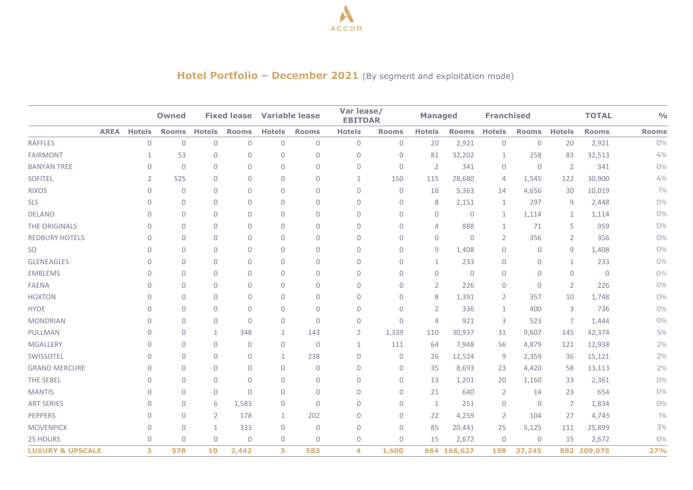

## **Hotel Portfolio – December 2021** (By segment and exploitation mode)

|                             |             |               | <b>Owned</b> |                | <b>Fixed lease</b> |               | <b>Variable lease</b> | Var lease/<br><b>EBITDAR</b> |              | <b>Managed</b> |                | <b>Franchised</b> |                |                | <b>TOTAL</b> | O/O          |
|-----------------------------|-------------|---------------|--------------|----------------|--------------------|---------------|-----------------------|------------------------------|--------------|----------------|----------------|-------------------|----------------|----------------|--------------|--------------|
|                             | <b>AREA</b> | <b>Hotels</b> | <b>Rooms</b> | <b>Hotels</b>  | <b>Rooms</b>       | <b>Hotels</b> | <b>Rooms</b>          | <b>Hotels</b>                | <b>Rooms</b> | <b>Hotels</b>  | <b>Rooms</b>   | <b>Hotels</b>     | <b>Rooms</b>   | <b>Hotels</b>  | <b>Rooms</b> | <b>Rooms</b> |
| <b>RAFFLES</b>              |             | 0             | $\mathbf 0$  | $\mathbf{0}$   | $\mathbf 0$        | $\mathbf{0}$  | $\mathbf{0}$          | $\overline{0}$               | $\mathbf{0}$ | 20             | 2,921          | $\mathbf{0}$      | $\overline{0}$ | 20             | 2,921        | 0%           |
| <b>FAIRMONT</b>             |             | $\mathbf{1}$  | 53           | $\mathbf{0}$   | $\mathbf{0}$       | 0             | $\mathbf 0$           | $\mathbf 0$                  | $\mathbf{0}$ | 81             | 32,202         | 1                 | 258            | 83             | 32,513       | 4%           |
| <b>BANYAN TREE</b>          |             | 0             | $\mathbf 0$  | $\mathbf{0}$   | $\mathbf{0}$       | $\Omega$      | $\mathbf{0}$          | $\mathbf 0$                  | $\mathbf{0}$ | $\overline{2}$ | 341            | $\mathbf{0}$      | $\overline{0}$ | $\overline{2}$ | 341          | 0%           |
| <b>SOFITEL</b>              |             | 2             | 525          | $\mathbf{0}$   | $\mathbf{0}$       | 0             | $\mathbf{0}$          | 1                            | 150          | 115            | 28,680         | $\overline{4}$    | 1,545          | 122            | 30,900       | 4%           |
| <b>RIXOS</b>                |             | 0             | $\mathbf 0$  | $\mathbf{0}$   | $\mathbf 0$        | 0             | $\mathbf{0}$          | $\mathbf 0$                  | $\mathbf{0}$ | 16             | 5,363          | 14                | 4,656          | 30             | 10,019       | 1%           |
| <b>SLS</b>                  |             | 0             | $\mathbf 0$  | $\mathbf{0}$   | $\mathbf{0}$       | 0             | $\mathbf{0}$          | $\mathbf 0$                  | $\mathbf{0}$ | 8              | 2,151          | $\mathbf{1}$      | 297            | 9              | 2,448        | 0%           |
| <b>DELANO</b>               |             | $\mathbf 0$   | $\mathbf{0}$ | $\mathbf{0}$   | $\mathbf{0}$       | $\Omega$      | $\Omega$              | $\mathbf 0$                  | $\Omega$     | $\mathbf{0}$   | $\Omega$       | $\mathbf{1}$      | 1,114          | 1              | 1,114        | 0%           |
| THE ORIGINALS               |             | $\mathbf{0}$  | $\mathbf{0}$ | $\Omega$       | $\Omega$           | $\Omega$      | $\Omega$              | $\mathbf 0$                  | $\Omega$     | $\overline{4}$ | 888            | $\mathbf{1}$      | 71             | 5              | 959          | 0%           |
| <b>REDBURY HOTELS</b>       |             | $\mathbf{0}$  | $\mathbf 0$  | $\mathbf{0}$   | $\mathbf{0}$       | 0             | $\mathbf{0}$          | $\mathbf 0$                  | $\mathbf{0}$ | $\mathbf{0}$   | $\mathbf{0}$   | 2                 | 356            | 2              | 356          | 0%           |
| <b>SO</b>                   |             | 0             | $\mathbf{0}$ | $\mathbf{0}$   | $\mathbf{0}$       | 0             | $\mathbf{0}$          | $\mathbf 0$                  | $\mathbf{0}$ | 9              | 1,408          | $\mathbf{0}$      | $\mathbf{0}$   | 9              | 1,408        | 0%           |
| <b>GLENEAGLES</b>           |             | $\Omega$      | $\mathbf{0}$ | $\Omega$       | $\Omega$           | $\Omega$      | $\Omega$              | $\Omega$                     | $\Omega$     | $\mathbf{1}$   | 233            | $\mathbf{0}$      | $\overline{0}$ | 1              | 233          | 0%           |
| <b>EMBLEMS</b>              |             | $\mathbf{0}$  | $\mathbf 0$  | $\mathbf{0}$   | $\mathbf 0$        | 0             | $\mathbf 0$           | $\mathbf 0$                  | $\mathbf{0}$ | $\mathbf 0$    | $\overline{0}$ | $\mathbf{0}$      | $\overline{0}$ | $\overline{0}$ | $\mathbf 0$  | 0%           |
| <b>FAENA</b>                |             | 0             | $\mathbf 0$  | $\mathbf{0}$   | $\mathbf{0}$       | 0             | $\mathbf{0}$          | $\mathbf 0$                  | $\mathbf{0}$ | $\overline{2}$ | 226            | $\mathbf{0}$      | $\overline{0}$ | 2              | 226          | 0%           |
| <b>HOXTON</b>               |             | 0             | $\mathbf{0}$ | $\mathbf{0}$   | $\mathbf{0}$       | $\Omega$      | $\mathbf{0}$          | $\mathbf 0$                  | $\mathbf{0}$ | 8              | 1,391          | $\overline{2}$    | 357            | 10             | 1,748        | 0%           |
| <b>HYDE</b>                 |             | $\mathbf{0}$  | $\mathbf{0}$ | $\mathbf{0}$   | $\mathbf{0}$       | 0             | $\mathbf{0}$          | $\mathbf 0$                  | $\mathbf 0$  | 2              | 336            | $\mathbf{1}$      | 400            | 3              | 736          | 0%           |
| <b>MONDRIAN</b>             |             | $\mathbf{0}$  | $\mathbf 0$  | $\mathbf{0}$   | $\mathbf 0$        | 0             | $\mathbf{0}$          | 0                            | $\mathbf 0$  | $\overline{4}$ | 921            | 3                 | 523            | 7              | 1,444        | 0%           |
| PULLMAN                     |             | $\mathbf 0$   | $\mathbf{0}$ | $\mathbf{1}$   | 348                | 1             | 143                   | $\overline{2}$               | 1,339        | 110            | 30,937         | 31                | 9,607          | 145            | 42,374       | 5%           |
| <b>MGALLERY</b>             |             | $\mathbf{0}$  | $\mathbf{0}$ | $\mathbf{0}$   | $\Omega$           | $\Omega$      | $\Omega$              | $\mathbf{1}$                 | 111          | 64             | 7,948          | 56                | 4,879          | 121            | 12,938       | 2%           |
| SWISSOTEL                   |             | $\mathbf{0}$  | $\mathbf 0$  | $\mathbf{0}$   | $\mathbf{0}$       | $\mathbf{1}$  | 238                   | $\mathbf 0$                  | $\mathbf{0}$ | 26             | 12,524         | 9                 | 2,359          | 36             | 15,121       | 2%           |
| <b>GRAND MERCURE</b>        |             | $\mathbf{0}$  | $\mathbf{0}$ | $\mathbf{0}$   | $\mathbf{0}$       | 0             | $\mathbf{0}$          | 0                            | $\mathbf{0}$ | 35             | 8,693          | 23                | 4,420          | 58             | 13,113       | 2%           |
| THE SEBEL                   |             | $\Omega$      | $\mathbf{0}$ | $\mathbf{0}$   | $\mathbf{0}$       | $\mathbf{0}$  | $\mathbf{0}$          | $\mathbf 0$                  | $\mathbf{0}$ | 13             | 1,201          | 20                | 1,160          | 33             | 2,361        | 0%           |
| <b>MANTIS</b>               |             | $\mathbf{0}$  | $\mathbf 0$  | $\mathbf 0$    | $\mathbf{0}$       | 0             | $\mathbf{0}$          | 0                            | $\mathbf{0}$ | 21             | 640            | $\overline{2}$    | 14             | 23             | 654          | 0%           |
| <b>ART SERIES</b>           |             | $\mathbf{0}$  | $\mathbf 0$  | 6              | 1,583              | 0             | $\Omega$              | $\mathbf 0$                  | $\mathbf{0}$ | $\mathbf{1}$   | 251            | $\mathbf{0}$      | $\mathbf{0}$   | 7              | 1,834        | 0%           |
| <b>PEPPERS</b>              |             | $\mathbf{0}$  | $\mathbf 0$  | $\overline{2}$ | 178                | 1             | 202                   | 0                            | $\mathbf{0}$ | 22             | 4,259          | 2                 | 104            | 27             | 4,743        | 1%           |
| <b>MOVENPICK</b>            |             | $\Omega$      | $\mathbf{0}$ | $\mathbf{1}$   | 333                | $\mathbf{0}$  | $\mathbf{0}$          | $\mathbf 0$                  | $\mathbf{0}$ | 85             | 20,441         | 25                | 5,125          | 111            | 25,899       | 3%           |
| <b>25 HOURS</b>             |             | $\mathbf 0$   | $\mathbf 0$  | $\mathbf{0}$   | $\mathbf{0}$       | 0             | 0                     | 0                            | $\mathbf{0}$ | 15             | 2,672          | $\mathbf{0}$      | $\mathbf{0}$   | 15             | 2,672        | 0%           |
| <b>LUXURY &amp; UPSCALE</b> |             | 3             | 578          | 10             | 2,442              | 3             | 583                   | 4                            | 1,600        |                | 664 166,627    | 198               | 37,245         |                | 882 209,075  | <b>27%</b>   |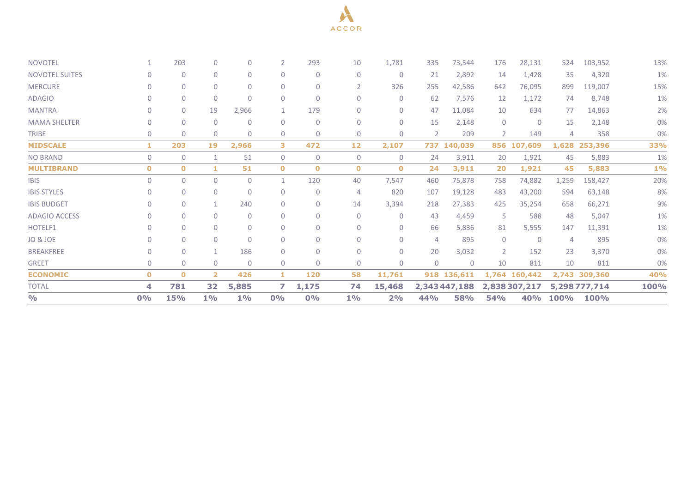